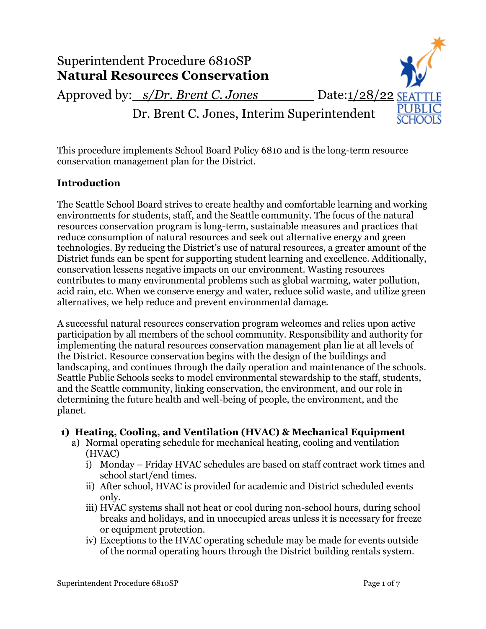

This procedure implements School Board Policy 6810 and is the long-term resource conservation management plan for the District.

### **Introduction**

The Seattle School Board strives to create healthy and comfortable learning and working environments for students, staff, and the Seattle community. The focus of the natural resources conservation program is long-term, sustainable measures and practices that reduce consumption of natural resources and seek out alternative energy and green technologies. By reducing the District's use of natural resources, a greater amount of the District funds can be spent for supporting student learning and excellence. Additionally, conservation lessens negative impacts on our environment. Wasting resources contributes to many environmental problems such as global warming, water pollution, acid rain, etc. When we conserve energy and water, reduce solid waste, and utilize green alternatives, we help reduce and prevent environmental damage.

A successful natural resources conservation program welcomes and relies upon active participation by all members of the school community. Responsibility and authority for implementing the natural resources conservation management plan lie at all levels of the District. Resource conservation begins with the design of the buildings and landscaping, and continues through the daily operation and maintenance of the schools. Seattle Public Schools seeks to model environmental stewardship to the staff, students, and the Seattle community, linking conservation, the environment, and our role in determining the future health and well-being of people, the environment, and the planet.

### **1) Heating, Cooling, and Ventilation (HVAC) & Mechanical Equipment**

- a) Normal operating schedule for mechanical heating, cooling and ventilation (HVAC)
	- i) Monday Friday HVAC schedules are based on staff contract work times and school start/end times.
	- ii) After school, HVAC is provided for academic and District scheduled events only.
	- iii) HVAC systems shall not heat or cool during non-school hours, during school breaks and holidays, and in unoccupied areas unless it is necessary for freeze or equipment protection.
	- iv) Exceptions to the HVAC operating schedule may be made for events outside of the normal operating hours through the District building rentals system.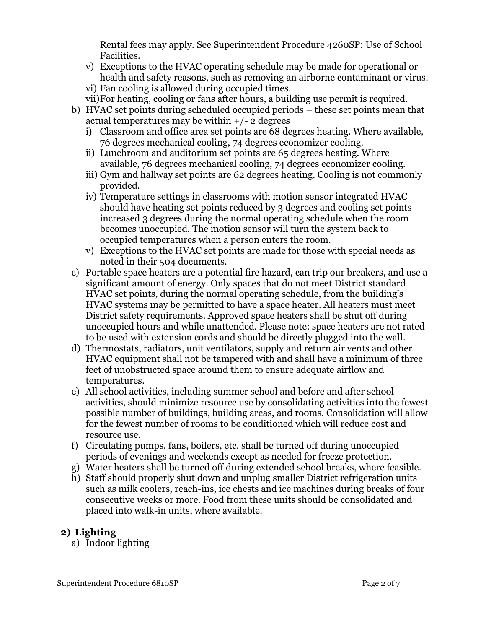Rental fees may apply. See Superintendent Procedure 4260SP: Use of School Facilities.

- v) Exceptions to the HVAC operating schedule may be made for operational or health and safety reasons, such as removing an airborne contaminant or virus.
- vi) Fan cooling is allowed during occupied times.
- vii)For heating, cooling or fans after hours, a building use permit is required.
- b) HVAC set points during scheduled occupied periods these set points mean that actual temperatures may be within  $+/- 2$  degrees
	- i) Classroom and office area set points are 68 degrees heating. Where available, 76 degrees mechanical cooling, 74 degrees economizer cooling.
	- ii) Lunchroom and auditorium set points are 65 degrees heating. Where available, 76 degrees mechanical cooling, 74 degrees economizer cooling.
	- iii) Gym and hallway set points are 62 degrees heating. Cooling is not commonly provided.
	- iv) Temperature settings in classrooms with motion sensor integrated HVAC should have heating set points reduced by 3 degrees and cooling set points increased 3 degrees during the normal operating schedule when the room becomes unoccupied. The motion sensor will turn the system back to occupied temperatures when a person enters the room.
	- v) Exceptions to the HVAC set points are made for those with special needs as noted in their 504 documents.
- c) Portable space heaters are a potential fire hazard, can trip our breakers, and use a significant amount of energy. Only spaces that do not meet District standard HVAC set points, during the normal operating schedule, from the building's HVAC systems may be permitted to have a space heater. All heaters must meet District safety requirements. Approved space heaters shall be shut off during unoccupied hours and while unattended. Please note: space heaters are not rated to be used with extension cords and should be directly plugged into the wall.
- d) Thermostats, radiators, unit ventilators, supply and return air vents and other HVAC equipment shall not be tampered with and shall have a minimum of three feet of unobstructed space around them to ensure adequate airflow and temperatures.
- e) All school activities, including summer school and before and after school activities, should minimize resource use by consolidating activities into the fewest possible number of buildings, building areas, and rooms. Consolidation will allow for the fewest number of rooms to be conditioned which will reduce cost and resource use.
- f) Circulating pumps, fans, boilers, etc. shall be turned off during unoccupied periods of evenings and weekends except as needed for freeze protection.
- g) Water heaters shall be turned off during extended school breaks, where feasible.
- h) Staff should properly shut down and unplug smaller District refrigeration units such as milk coolers, reach-ins, ice chests and ice machines during breaks of four consecutive weeks or more. Food from these units should be consolidated and placed into walk-in units, where available.

### **2) Lighting**

a) Indoor lighting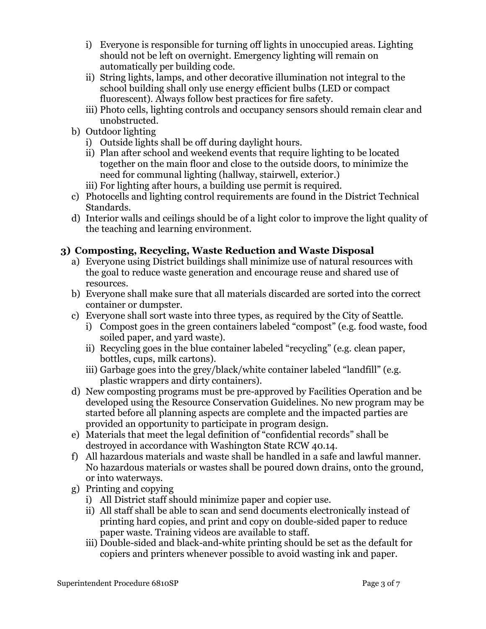- i) Everyone is responsible for turning off lights in unoccupied areas. Lighting should not be left on overnight. Emergency lighting will remain on automatically per building code.
- ii) String lights, lamps, and other decorative illumination not integral to the school building shall only use energy efficient bulbs (LED or compact fluorescent). Always follow best practices for fire safety.
- iii) Photo cells, lighting controls and occupancy sensors should remain clear and unobstructed.
- b) Outdoor lighting
	- i) Outside lights shall be off during daylight hours.
	- ii) Plan after school and weekend events that require lighting to be located together on the main floor and close to the outside doors, to minimize the need for communal lighting (hallway, stairwell, exterior.)
	- iii) For lighting after hours, a building use permit is required.
- c) Photocells and lighting control requirements are found in the District Technical Standards.
- d) Interior walls and ceilings should be of a light color to improve the light quality of the teaching and learning environment.

# **3) Composting, Recycling, Waste Reduction and Waste Disposal**

- a) Everyone using District buildings shall minimize use of natural resources with the goal to reduce waste generation and encourage reuse and shared use of resources.
- b) Everyone shall make sure that all materials discarded are sorted into the correct container or dumpster.
- c) Everyone shall sort waste into three types, as required by the City of Seattle.
	- i) Compost goes in the green containers labeled "compost" (e.g. food waste, food soiled paper, and yard waste).
	- ii) Recycling goes in the blue container labeled "recycling" (e.g. clean paper, bottles, cups, milk cartons).
	- iii) Garbage goes into the grey/black/white container labeled "landfill" (e.g. plastic wrappers and dirty containers).
- d) New composting programs must be pre-approved by Facilities Operation and be developed using the Resource Conservation Guidelines. No new program may be started before all planning aspects are complete and the impacted parties are provided an opportunity to participate in program design.
- e) Materials that meet the legal definition of "confidential records" shall be destroyed in accordance with Washington State RCW 40.14.
- f) All hazardous materials and waste shall be handled in a safe and lawful manner. No hazardous materials or wastes shall be poured down drains, onto the ground, or into waterways.
- g) Printing and copying
	- i) All District staff should minimize paper and copier use.
	- ii) All staff shall be able to scan and send documents electronically instead of printing hard copies, and print and copy on double-sided paper to reduce paper waste. Training videos are available to staff.
	- iii) Double-sided and black-and-white printing should be set as the default for copiers and printers whenever possible to avoid wasting ink and paper.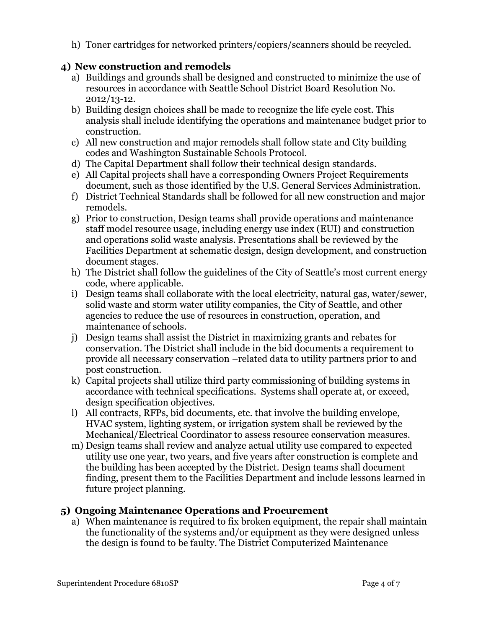h) Toner cartridges for networked printers/copiers/scanners should be recycled.

# **4) New construction and remodels**

- a) Buildings and grounds shall be designed and constructed to minimize the use of resources in accordance with Seattle School District Board Resolution No. 2012/13-12.
- b) Building design choices shall be made to recognize the life cycle cost. This analysis shall include identifying the operations and maintenance budget prior to construction.
- c) All new construction and major remodels shall follow state and City building codes and Washington Sustainable Schools Protocol.
- d) The Capital Department shall follow their technical design standards.
- e) All Capital projects shall have a corresponding Owners Project Requirements document, such as those identified by the U.S. General Services Administration.
- f) District Technical Standards shall be followed for all new construction and major remodels.
- g) Prior to construction, Design teams shall provide operations and maintenance staff model resource usage, including energy use index (EUI) and construction and operations solid waste analysis. Presentations shall be reviewed by the Facilities Department at schematic design, design development, and construction document stages.
- h) The District shall follow the guidelines of the City of Seattle's most current energy code, where applicable.
- i) Design teams shall collaborate with the local electricity, natural gas, water/sewer, solid waste and storm water utility companies, the City of Seattle, and other agencies to reduce the use of resources in construction, operation, and maintenance of schools.
- j) Design teams shall assist the District in maximizing grants and rebates for conservation. The District shall include in the bid documents a requirement to provide all necessary conservation –related data to utility partners prior to and post construction.
- k) Capital projects shall utilize third party commissioning of building systems in accordance with technical specifications. Systems shall operate at, or exceed, design specification objectives.
- l) All contracts, RFPs, bid documents, etc. that involve the building envelope, HVAC system, lighting system, or irrigation system shall be reviewed by the Mechanical/Electrical Coordinator to assess resource conservation measures.
- m) Design teams shall review and analyze actual utility use compared to expected utility use one year, two years, and five years after construction is complete and the building has been accepted by the District. Design teams shall document finding, present them to the Facilities Department and include lessons learned in future project planning.

### **5) Ongoing Maintenance Operations and Procurement**

a) When maintenance is required to fix broken equipment, the repair shall maintain the functionality of the systems and/or equipment as they were designed unless the design is found to be faulty. The District Computerized Maintenance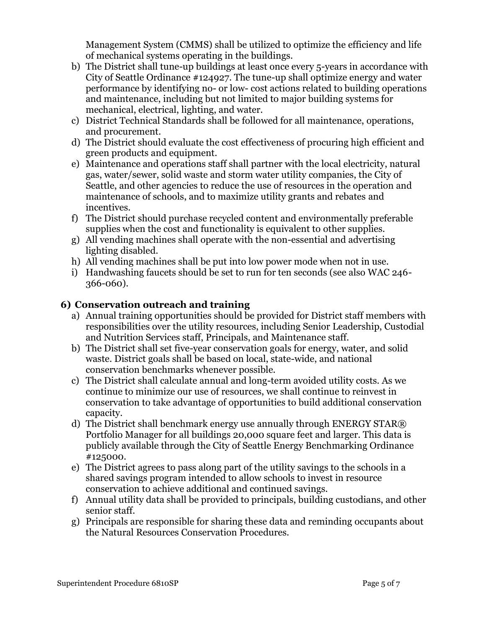Management System (CMMS) shall be utilized to optimize the efficiency and life of mechanical systems operating in the buildings.

- b) The District shall tune-up buildings at least once every 5-years in accordance with City of Seattle Ordinance #124927. The tune-up shall optimize energy and water performance by identifying no- or low- cost actions related to building operations and maintenance, including but not limited to major building systems for mechanical, electrical, lighting, and water.
- c) District Technical Standards shall be followed for all maintenance, operations, and procurement.
- d) The District should evaluate the cost effectiveness of procuring high efficient and green products and equipment.
- e) Maintenance and operations staff shall partner with the local electricity, natural gas, water/sewer, solid waste and storm water utility companies, the City of Seattle, and other agencies to reduce the use of resources in the operation and maintenance of schools, and to maximize utility grants and rebates and incentives.
- f) The District should purchase recycled content and environmentally preferable supplies when the cost and functionality is equivalent to other supplies.
- g) All vending machines shall operate with the non-essential and advertising lighting disabled.
- h) All vending machines shall be put into low power mode when not in use.
- i) Handwashing faucets should be set to run for ten seconds (see also WAC 246- 366-060).

### **6) Conservation outreach and training**

- a) Annual training opportunities should be provided for District staff members with responsibilities over the utility resources, including Senior Leadership, Custodial and Nutrition Services staff, Principals, and Maintenance staff.
- b) The District shall set five-year conservation goals for energy, water, and solid waste. District goals shall be based on local, state-wide, and national conservation benchmarks whenever possible.
- c) The District shall calculate annual and long-term avoided utility costs. As we continue to minimize our use of resources, we shall continue to reinvest in conservation to take advantage of opportunities to build additional conservation capacity.
- d) The District shall benchmark energy use annually through ENERGY STAR® Portfolio Manager for all buildings 20,000 square feet and larger. This data is publicly available through the City of Seattle Energy Benchmarking Ordinance #125000.
- e) The District agrees to pass along part of the utility savings to the schools in a shared savings program intended to allow schools to invest in resource conservation to achieve additional and continued savings.
- f) Annual utility data shall be provided to principals, building custodians, and other senior staff.
- g) Principals are responsible for sharing these data and reminding occupants about the Natural Resources Conservation Procedures.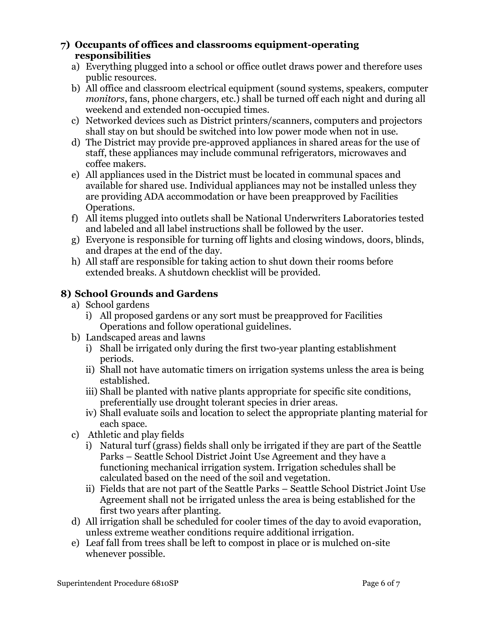#### **7) Occupants of offices and classrooms equipment-operating responsibilities**

- a) Everything plugged into a school or office outlet draws power and therefore uses public resources.
- b) All office and classroom electrical equipment (sound systems, speakers, computer *monitors*, fans, phone chargers, etc.) shall be turned off each night and during all weekend and extended non-occupied times.
- c) Networked devices such as District printers/scanners, computers and projectors shall stay on but should be switched into low power mode when not in use.
- d) The District may provide pre-approved appliances in shared areas for the use of staff, these appliances may include communal refrigerators, microwaves and coffee makers.
- e) All appliances used in the District must be located in communal spaces and available for shared use. Individual appliances may not be installed unless they are providing ADA accommodation or have been preapproved by Facilities Operations.
- f) All items plugged into outlets shall be National Underwriters Laboratories tested and labeled and all label instructions shall be followed by the user.
- g) Everyone is responsible for turning off lights and closing windows, doors, blinds, and drapes at the end of the day.
- h) All staff are responsible for taking action to shut down their rooms before extended breaks. A shutdown checklist will be provided.

# **8) School Grounds and Gardens**

- a) School gardens
	- i) All proposed gardens or any sort must be preapproved for Facilities Operations and follow operational guidelines.
- b) Landscaped areas and lawns
	- i) Shall be irrigated only during the first two-year planting establishment periods.
	- ii) Shall not have automatic timers on irrigation systems unless the area is being established.
	- iii) Shall be planted with native plants appropriate for specific site conditions, preferentially use drought tolerant species in drier areas.
	- iv) Shall evaluate soils and location to select the appropriate planting material for each space.
- c) Athletic and play fields
	- i) Natural turf (grass) fields shall only be irrigated if they are part of the Seattle Parks – Seattle School District Joint Use Agreement and they have a functioning mechanical irrigation system. Irrigation schedules shall be calculated based on the need of the soil and vegetation.
	- ii) Fields that are not part of the Seattle Parks Seattle School District Joint Use Agreement shall not be irrigated unless the area is being established for the first two years after planting.
- d) All irrigation shall be scheduled for cooler times of the day to avoid evaporation, unless extreme weather conditions require additional irrigation.
- e) Leaf fall from trees shall be left to compost in place or is mulched on-site whenever possible.